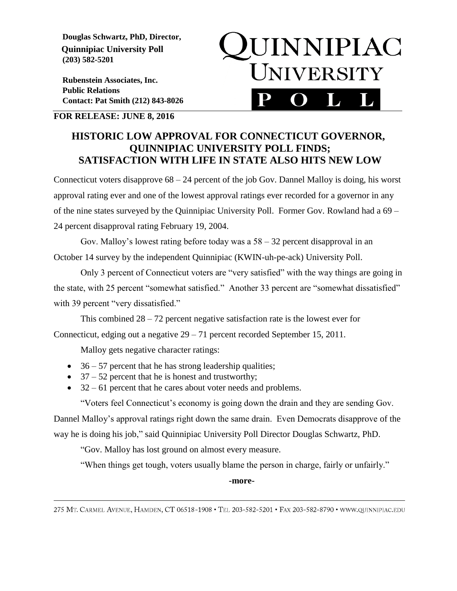**Douglas Schwartz, PhD, Director, Quinnipiac University Poll (203) 582-5201**

 **Rubenstein Associates, Inc. Public Relations Contact: Pat Smith (212) 843-8026**



## **FOR RELEASE: JUNE 8, 2016**

## **HISTORIC LOW APPROVAL FOR CONNECTICUT GOVERNOR, QUINNIPIAC UNIVERSITY POLL FINDS; SATISFACTION WITH LIFE IN STATE ALSO HITS NEW LOW**

Connecticut voters disapprove 68 – 24 percent of the job Gov. Dannel Malloy is doing, his worst approval rating ever and one of the lowest approval ratings ever recorded for a governor in any of the nine states surveyed by the Quinnipiac University Poll. Former Gov. Rowland had a 69 – 24 percent disapproval rating February 19, 2004.

Gov. Malloy's lowest rating before today was a  $58 - 32$  percent disapproval in an October 14 survey by the independent Quinnipiac (KWIN-uh-pe-ack) University Poll.

Only 3 percent of Connecticut voters are "very satisfied" with the way things are going in the state, with 25 percent "somewhat satisfied." Another 33 percent are "somewhat dissatisfied" with 39 percent "very dissatisfied."

This combined  $28 - 72$  percent negative satisfaction rate is the lowest ever for

Connecticut, edging out a negative 29 – 71 percent recorded September 15, 2011.

Malloy gets negative character ratings:

- $\bullet$  36 57 percent that he has strong leadership qualities;
- $\bullet$  37 52 percent that he is honest and trustworthy;
- $\bullet$  32 61 percent that he cares about voter needs and problems.

"Voters feel Connecticut's economy is going down the drain and they are sending Gov.

Dannel Malloy's approval ratings right down the same drain. Even Democrats disapprove of the way he is doing his job," said Quinnipiac University Poll Director Douglas Schwartz, PhD.

"Gov. Malloy has lost ground on almost every measure.

"When things get tough, voters usually blame the person in charge, fairly or unfairly."

**-more-**

<sup>275</sup> MT. CARMEL AVENUE, HAMDEN, CT 06518-1908 · TEL 203-582-5201 · FAX 203-582-8790 · WWW.QUINNIPIAC.EDU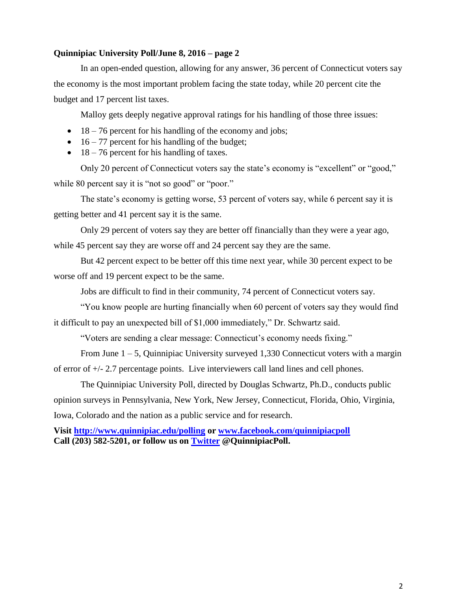## **Quinnipiac University Poll/June 8, 2016 – page 2**

In an open-ended question, allowing for any answer, 36 percent of Connecticut voters say the economy is the most important problem facing the state today, while 20 percent cite the budget and 17 percent list taxes.

Malloy gets deeply negative approval ratings for his handling of those three issues:

- $\bullet$  18 76 percent for his handling of the economy and jobs;
- $\bullet$  16 77 percent for his handling of the budget;
- $\bullet$  18 76 percent for his handling of taxes.

Only 20 percent of Connecticut voters say the state's economy is "excellent" or "good," while 80 percent say it is "not so good" or "poor."

The state's economy is getting worse, 53 percent of voters say, while 6 percent say it is getting better and 41 percent say it is the same.

Only 29 percent of voters say they are better off financially than they were a year ago, while 45 percent say they are worse off and 24 percent say they are the same.

But 42 percent expect to be better off this time next year, while 30 percent expect to be worse off and 19 percent expect to be the same.

Jobs are difficult to find in their community, 74 percent of Connecticut voters say.

"You know people are hurting financially when 60 percent of voters say they would find it difficult to pay an unexpected bill of \$1,000 immediately," Dr. Schwartz said.

"Voters are sending a clear message: Connecticut's economy needs fixing."

From June  $1 - 5$ , Quinnipiac University surveyed 1,330 Connecticut voters with a margin of error of +/- 2.7 percentage points. Live interviewers call land lines and cell phones.

The Quinnipiac University Poll, directed by Douglas Schwartz, Ph.D., conducts public opinion surveys in Pennsylvania, New York, New Jersey, Connecticut, Florida, Ohio, Virginia, Iowa, Colorado and the nation as a public service and for research.

**Visit<http://www.quinnipiac.edu/polling> or [www.facebook.com/quinnipiacpoll](http://www.facebook.com/quinnipiacpoll) Call (203) 582-5201, or follow us on [Twitter](http://twitter.com/QuinnipiacPoll) @QuinnipiacPoll.**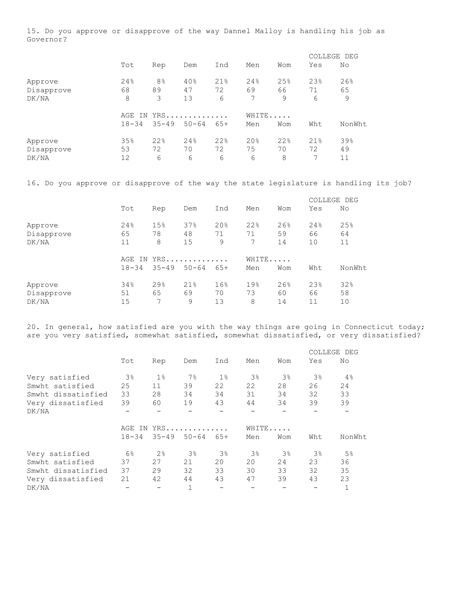15. Do you approve or disapprove of the way Dannel Malloy is handling his job as Governor?

|                       |           |                      |           |           |                 |           | COLLEGE DEG |           |
|-----------------------|-----------|----------------------|-----------|-----------|-----------------|-----------|-------------|-----------|
|                       | Tot       | Rep                  | Dem       | Ind       | Men             | Wom       | Yes         | No        |
| Approve<br>Disapprove | 24%<br>68 | 8 <sup>°</sup><br>89 | 40%<br>47 | 21%<br>72 | 24%<br>69       | 25%<br>66 | 23%<br>71   | 26%<br>65 |
| DK/NA                 | 8         | 3                    | 13        | 6         | 7               | 9         | 6           | 9         |
|                       | IN<br>AGE | YRS                  |           |           | WHITE           |           |             |           |
|                       | $18 - 34$ | $35 - 49$            | $50 - 64$ | $65+$     | Men             | Wom       | Wht         | NonWht    |
| Approve               | 35%       | 22%                  | 24%       | 22%       | 20 <sub>8</sub> | 22%       | 21%         | 39%       |
| Disapprove            | 53        | 72                   | 70        | 72        | 75              | 70        | 72          | 49        |
| DK/NA                 | 12        | 6                    | 6         | 6         | 6               | 8         | 7           | 11        |

16. Do you approve or disapprove of the way the state legislature is handling its job?

|                                |                  |                |                     |                 |                |                 | COLLEGE DEG     |                 |
|--------------------------------|------------------|----------------|---------------------|-----------------|----------------|-----------------|-----------------|-----------------|
|                                | Tot              | Rep            | Dem                 | Ind             | Men            | Wom             | Yes             | No              |
| Approve<br>Disapprove<br>DK/NA | 24%<br>65<br>11  | 15%<br>78<br>8 | 37%<br>48<br>15     | 20%<br>71<br>9  | 22%<br>71<br>7 | 26%<br>59<br>14 | 24%<br>66<br>10 | 25%<br>64<br>11 |
|                                | AGE<br>$18 - 34$ | $35 - 49$      | IN YRS<br>$50 - 64$ | $65+$           | WHITE<br>Men   | Wom             | Wht             | NonWht          |
| Approve<br>Disapprove<br>DK/NA | 34%<br>51<br>15  | 29%<br>65<br>7 | 21%<br>69<br>9      | 16%<br>70<br>13 | 19%<br>73<br>8 | 26%<br>60<br>14 | 23%<br>66<br>11 | 32%<br>58<br>10 |

20. In general, how satisfied are you with the way things are going in Connecticut today; are you very satisfied, somewhat satisfied, somewhat dissatisfied, or very dissatisfied?

|                    |                |           |            |       |                |                |                | COLLEGE DEG    |
|--------------------|----------------|-----------|------------|-------|----------------|----------------|----------------|----------------|
|                    | Tot            | Rep       | Dem        | Ind   | Men            | Wom            | Yes            | No             |
| Very satisfied     | 3 <sup>°</sup> | $1\%$     | $7\%$      | $1\%$ | 3 <sup>°</sup> | 3 <sup>°</sup> | 3 <sup>°</sup> | 4%             |
| Smwht satisfied    | 25             | 11        | 39         | 22    | 22             | 28             | 26             | 24             |
| Smwht dissatisfied | 33             | 28        | 34         | 34    | 31             | 34             | 32             | 33             |
| Very dissatisfied  | 39             | 60        | 19         | 43    | 44             | 34             | 39             | 39             |
| DK/NA              |                |           |            |       |                |                |                |                |
|                    |                |           | AGE IN YRS |       | WHITE          |                |                |                |
|                    | $18 - 34$      | $35 - 49$ | $50 - 64$  | $65+$ | Men            | Wom            | Wht            | NonWht         |
| Very satisfied     | 6 <sup>°</sup> | 2%        | $3\%$      | $3\%$ | $3\%$          | 3 <sup>°</sup> | 3 <sup>°</sup> | 5 <sup>°</sup> |
| Smwht satisfied    | 37             | 27        | 21         | 20    | 20             | 24             | 23             | 36             |
| Smwht dissatisfied | 37             | 29        | 32         | 33    | 30             | 33             | 32             | 35             |
| Very dissatisfied  | 21             | 42        | 44         | 43    | 47             | 39             | 43             | 23             |
| DK/NA              |                |           |            |       |                |                |                |                |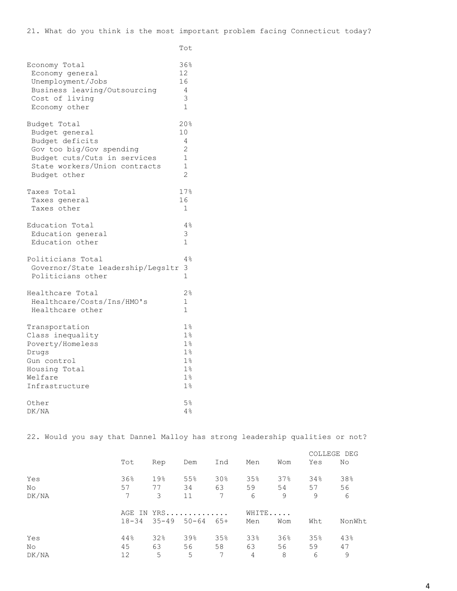**Total Contract of the Contract Oriental Contract of the Contract Oriental Contract of the Contract Oriental Co** 

| Economy Total                     | 36%             |
|-----------------------------------|-----------------|
| Economy general                   | 12              |
| Unemployment/Jobs                 | 16              |
| Business leaving/Outsourcing      | 4               |
| Cost of living                    | 3               |
| Economy other                     | 1               |
| Budget Total                      | 20%             |
| Budget general                    | 10 <sup>°</sup> |
| Budget deficits                   | 4               |
| Gov too big/Gov spending          | $\overline{2}$  |
| Budget cuts/Cuts in services      | $\mathbf{1}$    |
| State workers/Union contracts     | $\mathbf{1}$    |
| Budget other                      | $\overline{2}$  |
| Taxes Total                       | 17%             |
| Taxes general                     | 16              |
| Taxes other                       | $\mathbf{1}$    |
| Education Total                   | 4%              |
| Education general                 | 3               |
| Education other                   | $\mathbf{1}$    |
| Politicians Total                 | 4%              |
| Governor/State leadership/Legsltr | 3               |
| Politicians other                 | $\mathbf 1$     |
| Healthcare Total                  | 2 <sup>°</sup>  |
| Healthcare/Costs/Ins/HMO's        | $\mathbf{1}$    |
| Healthcare other                  | $\mathbf{1}$    |
| Transportation                    | $1\%$           |
| Class inequality                  | $1\%$           |
| Poverty/Homeless                  | $1\%$           |
| Drugs                             | 1 <sup>°</sup>  |
| Gun control                       | $1\%$           |
| Housing Total                     | $1\%$           |
| Welfare                           | 1%              |
| Infrastructure                    | 1 <sup>°</sup>  |
| Other                             | 5 <sup>°</sup>  |
| DK/NA                             | 4%              |

22. Would you say that Dannel Malloy has strong leadership qualities or not?

|                    |                 |                |                         |                |                |                | COLLEGE DEG    |                |
|--------------------|-----------------|----------------|-------------------------|----------------|----------------|----------------|----------------|----------------|
|                    | Tot             | Rep            | Dem                     | Ind            | Men            | Wom            | Yes            | No             |
| Yes<br>No<br>DK/NA | 36%<br>57<br>7  | 19%<br>77<br>3 | 55%<br>34<br>11         | 30%<br>63<br>7 | 35%<br>59<br>6 | 37%<br>54<br>9 | 34%<br>57<br>9 | 38%<br>56<br>6 |
|                    | $18 - 34$       | $35 - 49$      | AGE IN YRS<br>$50 - 64$ | $65+$          | WHITE<br>Men   | Wom            | Wht            | NonWht         |
| Yes<br>No<br>DK/NA | 44%<br>45<br>12 | 32%<br>63<br>5 | 39%<br>56<br>5          | 35%<br>58<br>7 | 33%<br>63<br>4 | 36%<br>56<br>8 | 35%<br>59<br>6 | 43%<br>47<br>9 |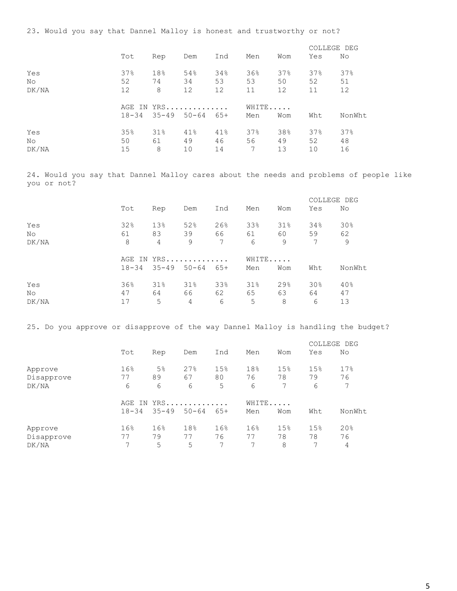23. Would you say that Dannel Malloy is honest and trustworthy or not?

|                     |                 |                               |                  |                 |                |                 | COLLEGE DEG     |                 |
|---------------------|-----------------|-------------------------------|------------------|-----------------|----------------|-----------------|-----------------|-----------------|
|                     | Tot             | Rep                           | Dem              | Ind             | Men            | Wom             | Yes             | No              |
| Yes<br>No           | 37%<br>52       | 18%<br>74                     | 54%<br>34        | 34%<br>53       | 36%<br>53      | 37%<br>50       | 37%<br>52       | 37%<br>51       |
| DK/NA               | 12              | 8                             | 12<br>AGE IN YRS | 12              | 11<br>WHITE    | 12              | 11              | 12              |
|                     |                 | $18 - 34$ $35 - 49$ $50 - 64$ |                  | 65+             | Men            | Wom             | Wht             | NonWht          |
| Yes<br>No.<br>DK/NA | 35%<br>50<br>15 | 31%<br>61<br>8                | 41%<br>49<br>10  | 41%<br>46<br>14 | 37%<br>56<br>7 | 38%<br>49<br>13 | 37%<br>52<br>10 | 37%<br>48<br>16 |
|                     |                 |                               |                  |                 |                |                 |                 |                 |

24. Would you say that Dannel Malloy cares about the needs and problems of people like you or not?

|       |     |     |                               |                 |       |                   |                 | COLLEGE DEG |
|-------|-----|-----|-------------------------------|-----------------|-------|-------------------|-----------------|-------------|
|       | Tot | Rep | Dem                           | Ind             | Men   | Wom               | Yes             | No          |
| Yes   | 32% | 13% | 52%                           | 26%             | 33%   | 31%               | 34%             | 30%         |
| No.   | 61  | 83  | 39                            | 66 —            | 61    | 60 —              | 59              | 62          |
| DK/NA | 8   | 4   | 9                             | $7\phantom{.0}$ | 6     | 9                 | 7               | 9           |
|       |     |     | AGE IN YRS                    |                 | WHITE |                   |                 |             |
|       |     |     | $18-34$ $35-49$ $50-64$ $65+$ |                 | Men   | Wom               | Wht             | NonWht      |
| Yes   | 36% | 31% | 31%                           | 33%             | 31%   | $29$ <sup>2</sup> | 30 <sub>8</sub> | 40%         |
| No    | 47  | 64  | 66 -                          | 62              | 65    | 63                | 64              | 47          |
| DK/NA | 17  | 5   | 4                             | 6               | 5     | 8                 | 6               | 13          |

25. Do you approve or disapprove of the way Dannel Malloy is handling the budget?

|            |           |                |           |       |       |     | COLLEGE DEG |        |
|------------|-----------|----------------|-----------|-------|-------|-----|-------------|--------|
|            | Tot       | Rep            | Dem       | Ind   | Men   | Wom | Yes         | No     |
| Approve    | 16%       | 5 <sup>°</sup> | 27%       | 15%   | 18%   | 15% | 15%         | 17%    |
| Disapprove | 77        | 89             | 67        | 80    | 76    | 78  | 79          | 76     |
| DK/NA      | 6         | 6              | 6         | 5     | 6     | 7   | 6           | 7      |
|            | AGE       | IN YRS         |           |       | WHITE |     |             |        |
|            | $18 - 34$ | $35 - 49$      | $50 - 64$ | $65+$ | Men   | Wom | Wht         | NonWht |
| Approve    | 16%       | 16%            | 18%       | 16%   | 16%   | 15% | 15%         | 20%    |
| Disapprove | 77        | 79             | 77        | 76    | 77    | 78  | 78          | 76     |
| DK/NA      | 7         | 5              | 5         | 7     | 7     | 8   | 7           | 4      |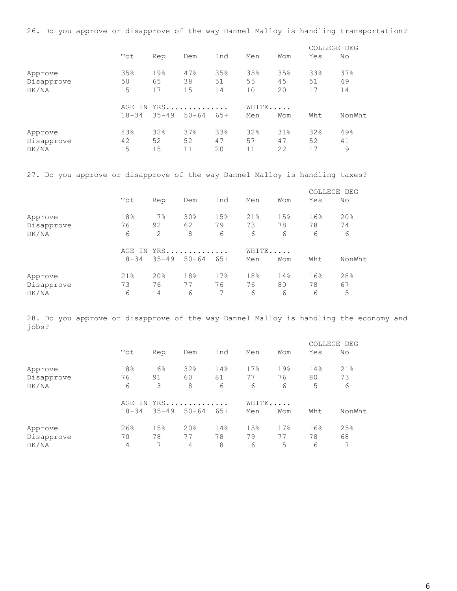26. Do you approve or disapprove of the way Dannel Malloy is handling transportation?

|                                |                        |                 |                  |                 |                 |                 | COLLEGE DEG     |                 |
|--------------------------------|------------------------|-----------------|------------------|-----------------|-----------------|-----------------|-----------------|-----------------|
|                                | Tot                    | Rep             | Dem              | Ind             | Men             | Wom             | Yes             | No              |
| Approve<br>Disapprove<br>DK/NA | 35%<br>50<br>15        | 19%<br>65<br>17 | 47%<br>38<br>15  | 35%<br>51<br>14 | 35%<br>55<br>10 | 35%<br>45<br>20 | 33%<br>51<br>17 | 37%<br>49<br>14 |
|                                | IN<br>AGE<br>$18 - 34$ | $35 - 49$       | YRS<br>$50 - 64$ | $65+$           | WHITE<br>Men    | Wom             | Wht             | NonWht          |
| Approve<br>Disapprove<br>DK/NA | 43%<br>42<br>15        | 32%<br>52<br>15 | 37%<br>52<br>11  | 33%<br>47<br>20 | 32%<br>57<br>11 | 31%<br>47<br>22 | 32%<br>52<br>17 | 49%<br>41<br>9  |

27. Do you approve or disapprove of the way Dannel Malloy is handling taxes?

|            |           |           |           |       |       |     | COLLEGE DEG |        |
|------------|-----------|-----------|-----------|-------|-------|-----|-------------|--------|
|            | Tot       | Rep       | Dem       | Ind   | Men   | Wom | Yes         | No     |
| Approve    | 18%       | $7\%$     | 30%       | 15%   | 21%   | 15% | 16%         | 20%    |
| Disapprove | 76        | 92        | 62        | 79    | 73    | 78  | 78          | 74     |
| DK/NA      | 6         | 2         | 8         | 6     | 6     | 6   | 6           | 6      |
|            | AGE       |           | IN YRS    |       | WHITE |     |             |        |
|            | $18 - 34$ | $35 - 49$ | $50 - 64$ | $65+$ | Men   | Wom | Wht         | NonWht |
| Approve    | 21%       | 20%       | 18%       | 17%   | 18%   | 14% | 16%         | 28%    |
| Disapprove | 73        | 76        | 77        | 76    | 76    | 80  | 78          | 67     |
| DK/NA      | 6         | 4         | 6         | 7     | 6     | 6   | 6           | 5      |

28. Do you approve or disapprove of the way Dannel Malloy is handling the economy and jobs?

|            |           |           |           |       |       |     | COLLEGE DEG |        |
|------------|-----------|-----------|-----------|-------|-------|-----|-------------|--------|
|            | Tot       | Rep       | Dem       | Ind   | Men   | Wom | Yes         | No     |
| Approve    | 18%       | 6%        | 32%       | 14%   | 17%   | 19% | 14%         | 21%    |
| Disapprove | 76        | 91        | 60        | 81    | 77    | 76  | 80          | 73     |
| DK/NA      | 6         | 3         | 8         | 6     | 6     | 6   | 5           | 6      |
|            | IN<br>AGE | $YRS$     |           |       | WHITE |     |             |        |
|            | $18 - 34$ | $35 - 49$ | $50 - 64$ | $65+$ | Men   | Wom | Wht         | NonWht |
| Approve    | 26%       | 15%       | 20%       | 14%   | 15%   | 17% | 16%         | 25%    |
| Disapprove | 70        | 78        | 77        | 78    | 79    | 77  | 78          | 68     |
| DK/NA      | 4         | 7         | 4         | 8     | 6     | 5   | 6           | 7      |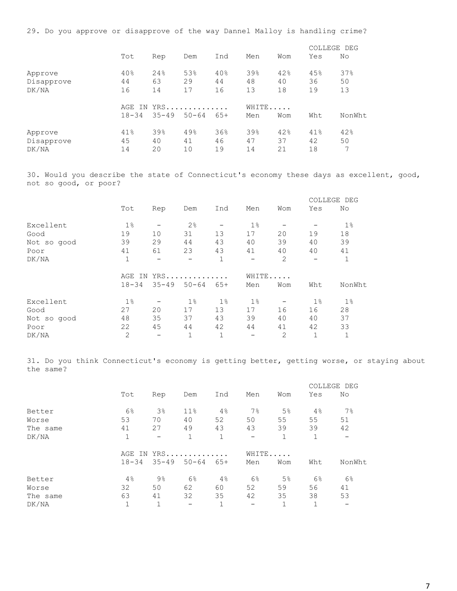29. Do you approve or disapprove of the way Dannel Malloy is handling crime?

|                                |                        |                 |                  |                 |                 |                 | COLLEGE DEG     |                 |
|--------------------------------|------------------------|-----------------|------------------|-----------------|-----------------|-----------------|-----------------|-----------------|
|                                | Tot                    | Rep             | Dem              | Ind             | Men             | Wom             | Yes             | No              |
| Approve<br>Disapprove<br>DK/NA | 40%<br>44<br>16        | 24%<br>63<br>14 | 53%<br>29<br>17  | 40%<br>44<br>16 | 39%<br>48<br>13 | 42%<br>40<br>18 | 45%<br>36<br>19 | 37%<br>50<br>13 |
|                                | IN<br>AGE<br>$18 - 34$ | $35 - 49$       | YRS<br>$50 - 64$ | $65+$           | WHITE<br>Men    | Wom             | Wht             | NonWht          |
| Approve<br>Disapprove<br>DK/NA | 41%<br>45<br>14        | 39%<br>40<br>20 | 49%<br>41<br>10  | 36%<br>46<br>19 | 39%<br>47<br>14 | 42%<br>37<br>21 | 41%<br>42<br>18 | 42%<br>50<br>7  |

30. Would you describe the state of Connecticut's economy these days as excellent, good, not so good, or poor?

|             |                |                          |                   |              |       |                |                          | COLLEGE DEG  |  |  |
|-------------|----------------|--------------------------|-------------------|--------------|-------|----------------|--------------------------|--------------|--|--|
|             | Tot            | Rep                      | Dem               | Ind          | Men   | Wom            | Yes                      | No           |  |  |
| Excellent   | $1\%$          |                          | 2 <sup>°</sup>    |              | $1\%$ |                |                          | $1\%$        |  |  |
| Good        | 19             | 10                       | 31                | 13           | 17    | 20             | 19                       | 18           |  |  |
| Not so good | 39             | 29                       | 44                | 43           | 40    | 39             | 40                       | 39           |  |  |
| Poor        | 41             | 61                       | 23                | 43           | 41    | 40             | 40                       | 41           |  |  |
| DK/NA       | 1              | $\overline{\phantom{0}}$ | $\qquad \qquad -$ | $\mathbf{1}$ |       | $\overline{2}$ | $\overline{\phantom{m}}$ | $\mathbf{1}$ |  |  |
|             |                | YRS<br>AGE IN            |                   |              |       |                | WHITE                    |              |  |  |
|             | $18 - 34$      | $35 - 49$                | $50 - 64$         | $65+$        | Men   | Wom            | Wht                      | NonWht       |  |  |
| Excellent   | $1\%$          |                          | $1\%$             | $1\%$        | $1\%$ |                | $1\%$                    | $1\%$        |  |  |
| Good        | 27             | 20                       | 17                | 13           | 17    | 16             | 16                       | 28           |  |  |
| Not so good | 48             | 35                       | 37                | 43           | 39    | 40             | 40                       | 37           |  |  |
| Poor        | 22             | 45                       | 44                | 42           | 44    | 41             | 42                       | 33           |  |  |
| DK/NA       | $\overline{2}$ | $\qquad \qquad$          | $\mathbf{1}$      |              |       | $\overline{2}$ | $\mathbf{1}$             | $\mathbf{1}$ |  |  |

31. Do you think Connecticut's economy is getting better, getting worse, or staying about the same?

|          |              |                          |                 |       |       |                |       | COLLEGE DEG              |  |  |
|----------|--------------|--------------------------|-----------------|-------|-------|----------------|-------|--------------------------|--|--|
|          | Tot          | Rep                      | Dem             | Ind   | Men   | Wom            | Yes   | No                       |  |  |
| Better   | $6\%$        | 3 <sup>°</sup>           | 11 <sup>°</sup> | 4%    | $7\%$ | 5 <sup>°</sup> | 4%    | $7\%$                    |  |  |
| Worse    | 53           | 70                       | 40              | 52    | 50    | 55             | 55    | 51                       |  |  |
| The same | 41           | 27                       | 49              | 43    | 43    | 39             | 39    | 42                       |  |  |
| DK/NA    | 1            | $\overline{\phantom{m}}$ |                 | 1     | -     |                | 1     | $\overline{\phantom{m}}$ |  |  |
|          | IN<br>AGE    |                          | $YRS$           |       |       | WHITE          |       |                          |  |  |
|          | $18 - 34$    | $35 - 49$                | $50 - 64$       | $65+$ | Men   | Wom            | Wht   | NonWht                   |  |  |
| Better   | 4%           | $9\%$                    | $6\%$           | 4%    | $6\%$ | $5\%$          | $6\%$ | 6%                       |  |  |
| Worse    | 32           | 50                       | 62              | 60    | 52    | 59             | 56    | 41                       |  |  |
| The same | 63           | 41                       | 32              | 35    | 42    | 35             | 38    | 53                       |  |  |
| DK/NA    | $\mathbf{1}$ |                          | -               |       |       |                | 1     | $\overline{\phantom{m}}$ |  |  |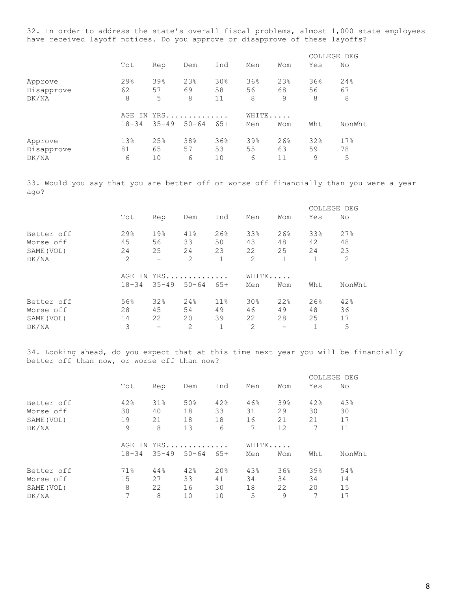32. In order to address the state's overall fiscal problems, almost 1,000 state employees have received layoff notices. Do you approve or disapprove of these layoffs?

|                                |                        |                 |                  |                 |                |                 |                | COLLEGE DEG    |
|--------------------------------|------------------------|-----------------|------------------|-----------------|----------------|-----------------|----------------|----------------|
|                                | Tot                    | Rep             | Dem              | Ind             | Men            | Wom             | Yes            | No             |
| Approve<br>Disapprove<br>DK/NA | 29%<br>62<br>8         | 39%<br>57<br>5  | 23%<br>69<br>8   | 30%<br>58<br>11 | 36%<br>56<br>8 | 23%<br>68<br>9  | 36%<br>56<br>8 | 24%<br>67<br>8 |
|                                | IN<br>AGE<br>$18 - 34$ | $35 - 49$       | YRS<br>$50 - 64$ | $65+$           | WHITE<br>Men   | Wom             | Wht            | NonWht.        |
| Approve<br>Disapprove<br>DK/NA | 13%<br>81<br>6         | 25%<br>65<br>10 | 38%<br>57<br>6   | 36%<br>53<br>10 | 39%<br>55<br>6 | 26%<br>63<br>11 | 32%<br>59<br>9 | 17%<br>78<br>5 |

33. Would you say that you are better off or worse off financially than you were a year ago?

|                                       |                  |                          |                 |                 |                 |                 | COLLEGE DEG     |                 |
|---------------------------------------|------------------|--------------------------|-----------------|-----------------|-----------------|-----------------|-----------------|-----------------|
|                                       | Tot              | Rep                      | Dem             | Ind             | Men             | Wom             | Yes             | No              |
| Better off<br>Worse off<br>SAME (VOL) | 29.8<br>45<br>24 | 19%<br>56<br>25          | 41%<br>33<br>24 | 26%<br>50<br>23 | 33%<br>43<br>22 | 26%<br>48<br>25 | 33%<br>42<br>24 | 27%<br>48<br>23 |
| DK/NA                                 | 2                | $\overline{\phantom{0}}$ | 2               | $\mathbf{1}$    | $\overline{2}$  | $\mathbf{1}$    |                 | 2               |
|                                       |                  |                          |                 |                 |                 |                 |                 |                 |
|                                       | AGE              |                          | IN YRS          |                 | WHITE           |                 |                 |                 |
|                                       | $18 - 34$        | $35 - 49$                | $50 - 64$       | $65+$           | Men             | Wom             | Wht             | NonWht          |
| Better off                            | 56%              | 32%                      | 24%             | 11.8            | 30%             | 22%             | 26%             | 42%             |
| Worse off                             | 28               | 45                       | 54              | 49              | 46              | 49              | 48              | 36              |
| SAME (VOL)                            | 14               | 22                       | 20              | 39              | 22              | 28              | 25              | 17              |

34. Looking ahead, do you expect that at this time next year you will be financially better off than now, or worse off than now?

|            |           |           |           |                 |       |     |     | COLLEGE DEG |
|------------|-----------|-----------|-----------|-----------------|-------|-----|-----|-------------|
|            | Tot       | Rep       | Dem       | Ind             | Men   | Wom | Yes | No          |
| Better off | 42%       | 31%       | 50%       | 42%             | 46%   | 39% | 42% | 43%         |
| Worse off  | 30        | 40        | 18        | 33              | 31    | 29  | 30  | 30          |
| SAME (VOL) | 19        | 21        | 18        | 18              | 16    | 21  | 21  | 17          |
| DK/NA      | 9         | 8         | 13        | 6               | 7     | 12  | 7   | 11          |
|            | AGE<br>ΙN |           | $YRS$     |                 | WHITE |     |     |             |
|            | $18 - 34$ | $35 - 49$ | $50 - 64$ | $65+$           | Men   | Wom | Wht | NonWht      |
| Better off | 71%       | 44%       | 42%       | 20 <sub>8</sub> | 43%   | 36% | 39% | 54%         |
| Worse off  | 15        | 27        | 33        | 41              | 34    | 34  | 34  | 14          |
| SAME (VOL) | 8         | 22        | 16        | 30              | 18    | 22  | 20  | 15          |
| DK/NA      | 7         | 8         | 10        | 10              | 5     | 9   | 7   | 17          |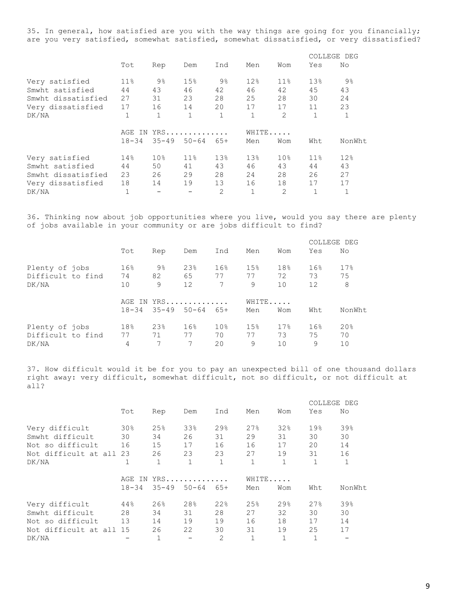35. In general, how satisfied are you with the way things are going for you financially; are you very satisfied, somewhat satisfied, somewhat dissatisfied, or very dissatisfied?

|                    |                  |                 |                 |                |                 |                 |              | COLLEGE DEG  |  |
|--------------------|------------------|-----------------|-----------------|----------------|-----------------|-----------------|--------------|--------------|--|
|                    | Tot              | Rep             | Dem             | Ind            | Men             | Wom             | Yes          | No           |  |
| Very satisfied     | $11\%$           | $9\%$           | 15%             | $9\%$          | 12 <sub>8</sub> | 11 <sup>°</sup> | 13%          | $9\%$        |  |
| Smwht satisfied    | 44               | 43              | 46              | 42             | 46              | 42              | 45           | 43           |  |
| Smwht dissatisfied | 27               | 31              | 23              | 28             | 25              | 28              | 30           | 24           |  |
| Very dissatisfied  | 17               | 16              | 14              | 20             | 17              | 17              | 11           | 23           |  |
| DK/NA              | 1                | 1               | $\mathbf{1}$    | 1              | 1               | $\overline{2}$  | $\mathbf{1}$ | $\mathbf{1}$ |  |
|                    | YRS<br>AGE<br>IN |                 |                 |                | WHITE           |                 |              |              |  |
|                    | $18 - 34$        | $35 - 49$       | $50 - 64$       | $65+$          | Men             | Wom             | Wht          | NonWht.      |  |
| Very satisfied     | 14%              | 10 <sub>8</sub> | 11 <sub>8</sub> | 13%            | 13 <sup>8</sup> | 10 <sub>8</sub> | 11.8         | 12%          |  |
| Smwht satisfied    | 44               | 50              | 41              | 43             | 46              | 43              | 44           | 43           |  |
| Smwht dissatisfied | 23               | 26              | 29              | 28             | 24              | 28              | 26           | 27           |  |
| Very dissatisfied  | 18               | 14              | 19              | 13             | 16              | 18              | 17           | 17           |  |
| DK/NA              |                  |                 |                 | $\overline{2}$ | $\mathbf{1}$    | $\overline{2}$  |              |              |  |

36. Thinking now about job opportunities where you live, would you say there are plenty of jobs available in your community or are jobs difficult to find?

|                                              |                 |               |                 |                              |                       |                 |                 |                | COLLEGE DEG           |
|----------------------------------------------|-----------------|---------------|-----------------|------------------------------|-----------------------|-----------------|-----------------|----------------|-----------------------|
|                                              |                 | Tot           | Rep             | Dem                          | Ind                   | Men             | Wom             | Yes            | No                    |
| Plenty of jobs<br>Difficult to find<br>DK/NA | 16%<br>74<br>10 | 9%<br>82<br>9 | 23%<br>65<br>12 | 16%<br>77<br>$7\overline{ }$ | 15%<br>77<br>9        | 18%<br>72<br>10 | 16%<br>73<br>12 | 17%<br>75<br>8 |                       |
|                                              |                 | $18 - 34$     | $35 - 49$       | AGE IN YRS<br>$50 - 64$      | $65+$                 | WHITE<br>Men    | Wom             | Wht            | NonWht                |
| Plenty of jobs<br>Difficult to find          |                 | 18%<br>77     | 23%<br>71       | 16 <sup>°</sup><br>77        | 10 <sub>8</sub><br>70 | 15%<br>77       | 17%<br>73       | 16%<br>75      | 20 <sub>8</sub><br>70 |
| DK/NA                                        |                 | 4             | 7               | 7                            | 20                    | 9               | 10              | 9              | 10                    |

37. How difficult would it be for you to pay an unexpected bill of one thousand dollars right away: very difficult, somewhat difficult, not so difficult, or not difficult at all?

|                      |           |           |            |                |              |     | COLLEGE DEG  |              |
|----------------------|-----------|-----------|------------|----------------|--------------|-----|--------------|--------------|
|                      | Tot       | Rep       | Dem        | Ind            | Men          | Wom | Yes          | No           |
| Very difficult       | 30%       | 25%       | 33%        | 29.8           | 27%          | 32% | 19%          | 39%          |
| Smwht difficult      | 30        | 34        | 26         | 31             | 29           | 31  | 30           | 30           |
| Not so difficult     | 16        | 15        | 17         | 16             | 16           | 17  | 20           | 14           |
| Not difficult at all | 23        | 26        | 23         | 23             | 27           | 19  | 31           | 16           |
| DK/NA                | 1         |           |            |                | $\mathbf{1}$ |     | $\mathbf{1}$ | $\mathbf{1}$ |
|                      |           |           | AGE IN YRS |                | WHITE        |     |              |              |
|                      | $18 - 34$ | $35 - 49$ | $50 - 64$  | $65+$          | Men          | Wom | Wht          | NonWht       |
| Very difficult       | 44%       | 26%       | 28%        | 22%            | 25%          | 29% | 27%          | 39%          |
| Smwht difficult      | 28        | 34        | 31         | 28             | 27           | 32  | 30           | 30           |
| Not so difficult     | 13        | 14        | 19         | 19             | 16           | 18  | 17           | 14           |
| Not difficult at all | 15        | 26        | 22         | 30             | 31           | 19  | 25           | 17           |
| DK/NA                |           |           |            | $\overline{2}$ | $\mathbf{1}$ |     | $\mathbf{1}$ |              |